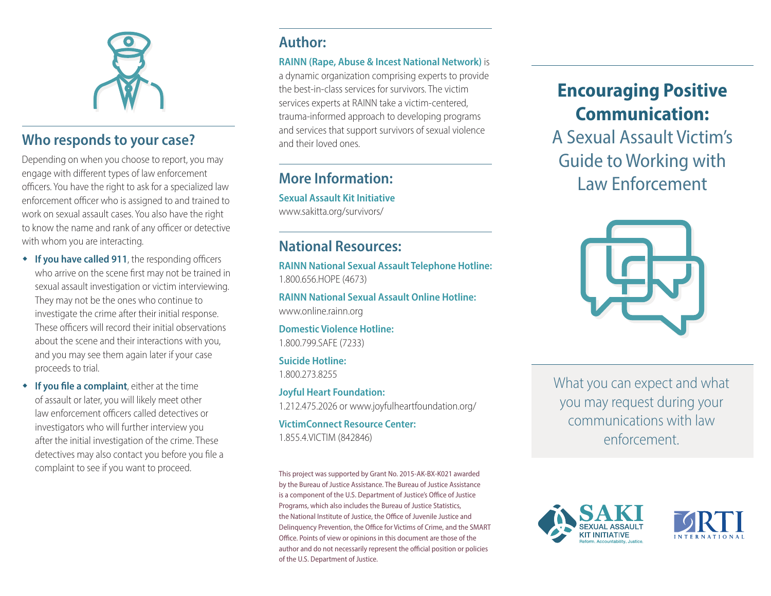

### **Who responds to your case?**

Depending on when you choose to report, you may engage with different types of law enforcement officers. You have the right to ask for a specialized law enforcement officer who is assigned to and trained to work on sexual assault cases. You also have the right to know the name and rank of any officer or detective with whom you are interacting.

- **If you have called 911**, the responding officers who arrive on the scene first may not be trained in sexual assault investigation or victim interviewing. They may not be the ones who continue to investigate the crime after their initial response. These officers will record their initial observations about the scene and their interactions with you, and you may see them again later if your case proceeds to trial.
- **If you file a complaint**, either at the time of assault or later, you will likely meet other law enforcement officers called detectives or investigators who will further interview you after the initial investigation of the crime. These detectives may also contact you before you file a complaint to see if you want to proceed.

# **Author:**

#### **RAINN (Rape, Abuse & Incest National Network)** is

a dynamic organization comprising experts to provide the best-in-class services for survivors. The victim services experts at RAINN take a victim-centered, trauma-informed approach to developing programs and services that support survivors of sexual violence and their loved ones.

# **More Information:**

**Sexual Assault Kit Initiative** www.sakitta.org/survivors/

# **National Resources:**

**RAINN National Sexual Assault Telephone Hotline:** 1.800.656.HOPE (4673)

**RAINN National Sexual Assault Online Hotline:** www.online.rainn.org

**Domestic Violence Hotline:** 1.800.799.SAFE (7233)

**Suicide Hotline:** 1.800.273.8255

**Joyful Heart Foundation:** 1.212.475.2026 or www.joyfulheartfoundation.org/

**VictimConnect Resource Center:** 1.855.4.VICTIM (842846)

This project was supported by Grant No. 2015-AK-BX-K021 awarded by the Bureau of Justice Assistance. The Bureau of Justice Assistance is a component of the U.S. Department of Justice's Office of Justice Programs, which also includes the Bureau of Justice Statistics, the National Institute of Justice, the Office of Juvenile Justice and Delinquency Prevention, the Office for Victims of Crime, and the SMART Office. Points of view or opinions in this document are those of the author and do not necessarily represent the official position or policies of the U.S. Department of Justice.

# **Encouraging Positive Communication:**

A Sexual Assault Victim's Guide to Working with Law Enforcement



What you can expect and what you may request during your communications with law enforcement.